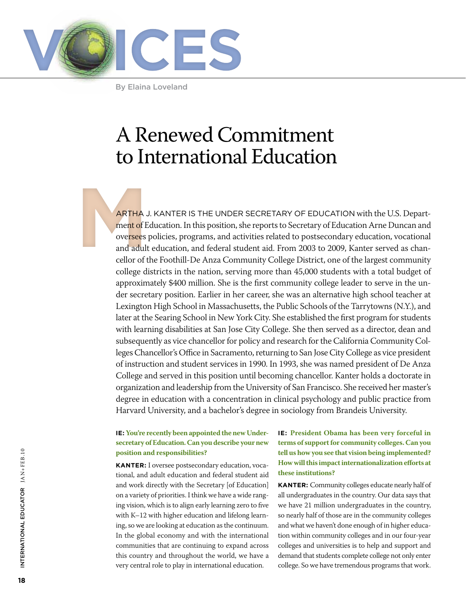

By Elaina Loveland

# A Renewed Commitment to International Education

**ARTHA**<br>
ment of E<br>
oversees<br>
and adult<br>
cellor of t ARTHA J. KANTER IS THE UNDER SECRETARY OF EDUCATION with the U.S. Department of Education. In this position, she reports to Secretary of Education Arne Duncan and oversees policies, programs, and activities related to postsecondary education, vocational and adult education, and federal student aid. From 2003 to 2009, Kanter served as chancellor of the Foothill-De Anza Community College District, one of the largest community college districts in the nation, serving more than 45,000 students with a total budget of approximately \$400 million. She is the first community college leader to serve in the under secretary position. Earlier in her career, she was an alternative high school teacher at Lexington High School in Massachusetts, the Public Schools of the Tarrytowns (N.Y.), and later at the Searing School in New York City. She established the first program for students with learning disabilities at San Jose City College. She then served as a director, dean and subsequently as vice chancellor for policy and research for the California Community Colleges Chancellor's Office in Sacramento, returning to San Jose City College as vice president of instruction and student services in 1990. In 1993, she was named president of De Anza College and served in this position until becoming chancellor. Kanter holds a doctorate in organization and leadership from the University of San Francisco. She received her master's degree in education with a concentration in clinical psychology and public practice from Harvard University, and a bachelor's degree in sociology from Brandeis University.

#### **IE: You're recently been appointed the new Undersecretary of Education. Can you describe your new position and responsibilities?**

**KANTER:** I oversee postsecondary education, vocational, and adult education and federal student aid and work directly with the Secretary [of Education] on a variety of priorities. I think we have a wide ranging vision, which is to align early learning zero to five with K–12 with higher education and lifelong learning, so we are looking at education as the continuum. In the global economy and with the international communities that are continuing to expand across this country and throughout the world, we have a very central role to play in international education.

# **IE: President Obama has been very forceful in terms of support for community colleges. Can you tell us how you see that vision being implemented? How will this impact internationalization efforts at these institutions?**

**KANTER:** Community colleges educate nearly half of all undergraduates in the country. Our data says that we have 21 million undergraduates in the country, so nearly half of those are in the community colleges and what we haven't done enough of in higher education within community colleges and in our four-year colleges and universities is to help and support and demand that students complete college not only enter college. So we have tremendous programs that work.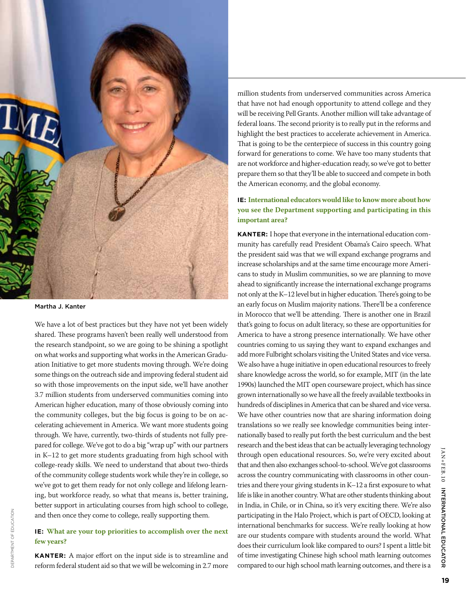

Martha J. Kanter

We have a lot of best practices but they have not yet been widely shared. These programs haven't been really well understood from the research standpoint, so we are going to be shining a spotlight on what works and supporting what works in the American Graduation Initiative to get more students moving through. We're doing some things on the outreach side and improving federal student aid so with those improvements on the input side, we'll have another 3.7 million students from underserved communities coming into American higher education, many of those obviously coming into the community colleges, but the big focus is going to be on accelerating achievement in America. We want more students going through. We have, currently, two-thirds of students not fully prepared for college. We've got to do a big "wrap up" with our partners in K–12 to get more students graduating from high school with college-ready skills. We need to understand that about two-thirds of the community college students work while they're in college, so we've got to get them ready for not only college and lifelong learning, but workforce ready, so what that means is, better training, better support in articulating courses from high school to college, and then once they come to college, really supporting them.

# **IE: What are your top priorities to accomplish over the next few years?**

**KANTER:** A major effort on the input side is to streamline and reform federal student aid so that we will be welcoming in 2.7 more

million students from underserved communities across America that have not had enough opportunity to attend college and they will be receiving Pell Grants. Another million will take advantage of federal loans. The second priority is to really put in the reforms and highlight the best practices to accelerate achievement in America. That is going to be the centerpiece of success in this country going forward for generations to come. We have too many students that are not workforce and higher-education ready, so we've got to better prepare them so that they'll be able to succeed and compete in both the American economy, and the global economy.

# **IE: International educators would like to know more about how you see the Department supporting and participating in this important area?**

**KANTER:** I hope that everyone in the international education community has carefully read President Obama's Cairo speech. What the president said was that we will expand exchange programs and increase scholarships and at the same time encourage more Americans to study in Muslim communities, so we are planning to move ahead to significantly increase the international exchange programs not only at the K–12 level but in higher education. There's going to be an early focus on Muslim majority nations. There'll be a conference in Morocco that we'll be attending. There is another one in Brazil that's going to focus on adult literacy, so these are opportunities for America to have a strong presence internationally. We have other countries coming to us saying they want to expand exchanges and add more Fulbright scholars visiting the United States and vice versa. We also have a huge initiative in open educational resources to freely share knowledge across the world, so for example, MIT (in the late 1990s) launched the MIT open courseware project, which has since grown internationally so we have all the freely available textbooks in hundreds of disciplines in America that can be shared and vice versa. We have other countries now that are sharing information doing translations so we really see knowledge communities being internationally based to really put forth the best curriculum and the best research and the best ideas that can be actually leveraging technology through open educational resources. So, we're very excited about that and then also exchanges school-to-school. We've got classrooms across the country communicating with classrooms in other countries and there your giving students in K–12 a first exposure to what life is like in another country. What are other students thinking about in India, in Chile, or in China, so it's very exciting there. We're also participating in the Halo Project, which is part of OECD, looking at international benchmarks for success. We're really looking at how are our students compare with students around the world. What does their curriculum look like compared to ours? I spent a little bit of time investigating Chinese high school math learning outcomes compared to our high school math learning outcomes, and there is a

INTERNATIONAL EDUCATOR

AN+FEB.10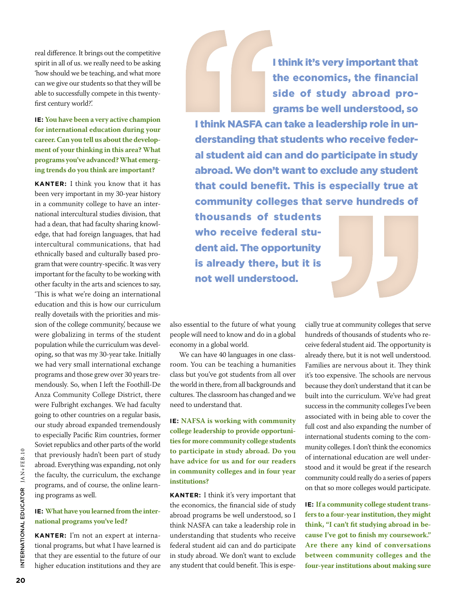real difference. It brings out the competitive spirit in all of us. we really need to be asking 'how should we be teaching, and what more can we give our students so that they will be able to successfully compete in this twentyfirst century world?'.

**IE: You have been a very active champion for international education during your career. Can you tell us about the development of your thinking in this area? What programs you've advanced? What emerging trends do you think are important?**

**KANTER:** I think you know that it has been very important in my 30-year history in a community college to have an international intercultural studies division, that had a dean, that had faculty sharing knowledge, that had foreign languages, that had intercultural communications, that had ethnically based and culturally based program that were country-specific. It was very important for the faculty to be working with other faculty in the arts and sciences to say, 'This is what we're doing an international education and this is how our curriculum really dovetails with the priorities and mission of the college community,' because we were globalizing in terms of the student population while the curriculum was developing, so that was my 30-year take. Initially we had very small international exchange programs and those grew over 30 years tremendously. So, when I left the Foothill-De Anza Community College District, there were Fulbright exchanges. We had faculty going to other countries on a regular basis, our study abroad expanded tremendously to especially Pacific Rim countries, former Soviet republics and other parts of the world that previously hadn't been part of study abroad. Everything was expanding, not only the faculty, the curriculum, the exchange programs, and of course, the online learning programs as well.

#### **IE: What have you learned from the international programs you've led?**

**KANTER:** I'm not an expert at international programs, but what I have learned is that they are essential to the future of our higher education institutions and they are

I think it's very important that the economics, the financial side of study abroad programs be well understood, so

I think NASFA can take a leadership role in understanding that students who receive federal student aid can and do participate in study abroad. We don't want to exclude any student that could benefit. This is especially true at community colleges that serve hundreds of

thousands of students who receive federal student aid. The opportunity is already there, but it is not well understood.

also essential to the future of what young people will need to know and do in a global economy in a global world.

We can have 40 languages in one classroom. You can be teaching a humanities class but you've got students from all over the world in there, from all backgrounds and cultures. The classroom has changed and we need to understand that.

**IE: NAFSA is working with community college leadership to provide opportunities for more community college students to participate in study abroad. Do you have advice for us and for our readers in community colleges and in four year institutions?**

**KANTER:** I think it's very important that the economics, the financial side of study abroad programs be well understood, so I think NASFA can take a leadership role in understanding that students who receive federal student aid can and do participate in study abroad. We don't want to exclude any student that could benefit. This is espe-

cially true at community colleges that serve hundreds of thousands of students who receive federal student aid. The opportunity is already there, but it is not well understood. Families are nervous about it. They think it's too expensive. The schools are nervous because they don't understand that it can be built into the curriculum. We've had great success in the community colleges I've been associated with in being able to cover the full cost and also expanding the number of international students coming to the community colleges. I don't think the economics of international education are well understood and it would be great if the research community could really do a series of papers on that so more colleges would participate.

**IE: If a community college student transfers to a four-year institution, they might think, "I can't fit studying abroad in because I've got to finish my coursework." Are there any kind of conversations between community colleges and the four-year institutions about making sure**